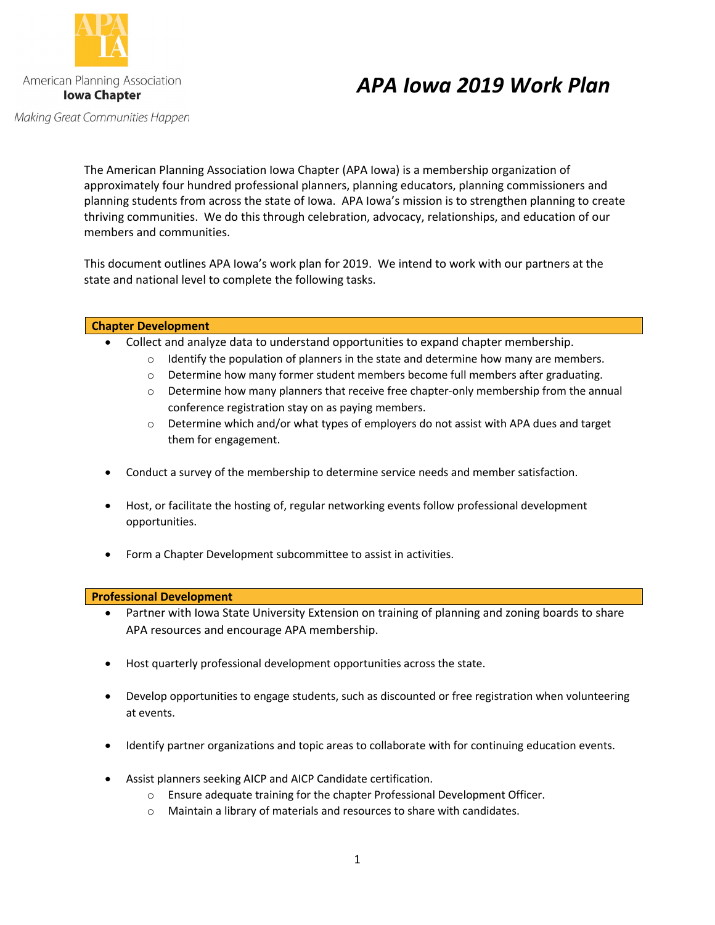

Making Great Communities Happen

# *APA Iowa 2019 Work Plan*

The American Planning Association Iowa Chapter (APA Iowa) is a membership organization of approximately four hundred professional planners, planning educators, planning commissioners and planning students from across the state of Iowa. APA Iowa's mission is to strengthen planning to create thriving communities. We do this through celebration, advocacy, relationships, and education of our members and communities.

This document outlines APA Iowa's work plan for 2019. We intend to work with our partners at the state and national level to complete the following tasks.

# **Chapter Development**

- Collect and analyze data to understand opportunities to expand chapter membership.
	- $\circ$  Identify the population of planners in the state and determine how many are members.
	- $\circ$  Determine how many former student members become full members after graduating.
	- o Determine how many planners that receive free chapter-only membership from the annual conference registration stay on as paying members.
	- o Determine which and/or what types of employers do not assist with APA dues and target them for engagement.
- Conduct a survey of the membership to determine service needs and member satisfaction.
- Host, or facilitate the hosting of, regular networking events follow professional development opportunities.
- Form a Chapter Development subcommittee to assist in activities.

### **Professional Development**

- Partner with Iowa State University Extension on training of planning and zoning boards to share APA resources and encourage APA membership.
- Host quarterly professional development opportunities across the state.
- Develop opportunities to engage students, such as discounted or free registration when volunteering at events.
- Identify partner organizations and topic areas to collaborate with for continuing education events.
- Assist planners seeking AICP and AICP Candidate certification.
	- o Ensure adequate training for the chapter Professional Development Officer.
	- o Maintain a library of materials and resources to share with candidates.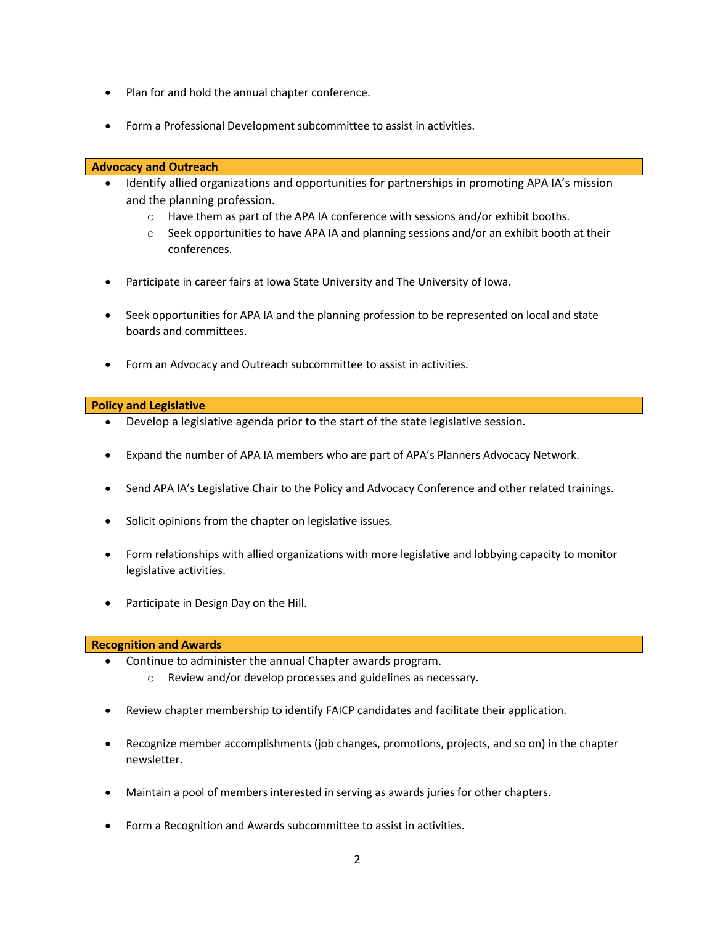- Plan for and hold the annual chapter conference.
- Form a Professional Development subcommittee to assist in activities.

# **Advocacy and Outreach**

- Identify allied organizations and opportunities for partnerships in promoting APA IA's mission and the planning profession.
	- $\circ$  Have them as part of the APA IA conference with sessions and/or exhibit booths.
	- $\circ$  Seek opportunities to have APA IA and planning sessions and/or an exhibit booth at their conferences.
- Participate in career fairs at Iowa State University and The University of Iowa.
- Seek opportunities for APA IA and the planning profession to be represented on local and state boards and committees.
- Form an Advocacy and Outreach subcommittee to assist in activities.

# **Policy and Legislative**

- Develop a legislative agenda prior to the start of the state legislative session.
- Expand the number of APA IA members who are part of APA's Planners Advocacy Network.
- Send APA IA's Legislative Chair to the Policy and Advocacy Conference and other related trainings.
- Solicit opinions from the chapter on legislative issues.
- Form relationships with allied organizations with more legislative and lobbying capacity to monitor legislative activities.
- Participate in Design Day on the Hill.

### **Recognition and Awards**

- Continue to administer the annual Chapter awards program.
	- o Review and/or develop processes and guidelines as necessary.
- Review chapter membership to identify FAICP candidates and facilitate their application.
- Recognize member accomplishments (job changes, promotions, projects, and so on) in the chapter newsletter.
- Maintain a pool of members interested in serving as awards juries for other chapters.
- Form a Recognition and Awards subcommittee to assist in activities.